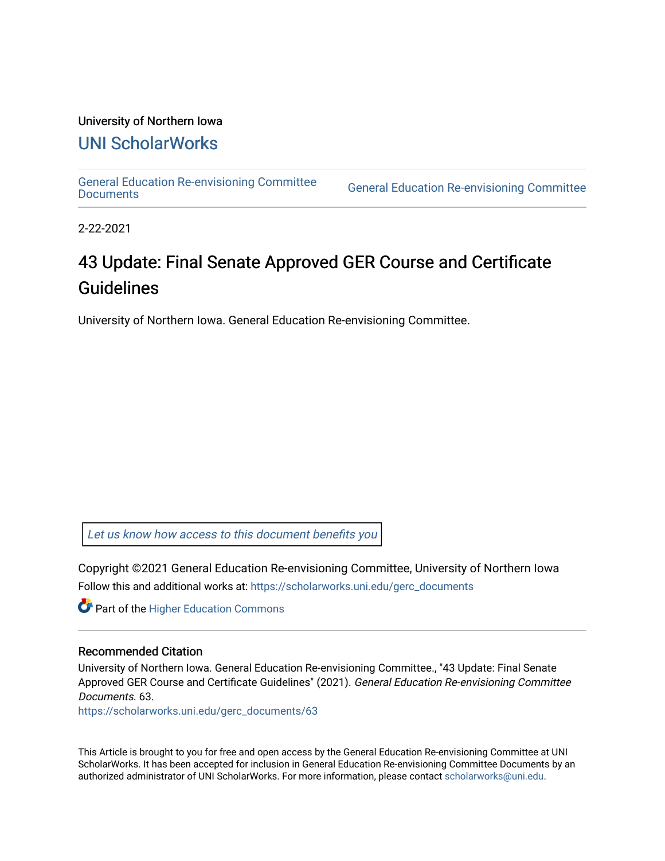#### University of Northern Iowa

## [UNI ScholarWorks](https://scholarworks.uni.edu/)

[General Education Re-envisioning Committee](https://scholarworks.uni.edu/gerc_documents) 

**General Education Re-envisioning Committee** 

2-22-2021

## 43 Update: Final Senate Approved GER Course and Certificate Guidelines

University of Northern Iowa. General Education Re-envisioning Committee.

[Let us know how access to this document benefits you](https://scholarworks.uni.edu/feedback_form.html) 

Copyright ©2021 General Education Re-envisioning Committee, University of Northern Iowa Follow this and additional works at: [https://scholarworks.uni.edu/gerc\\_documents](https://scholarworks.uni.edu/gerc_documents?utm_source=scholarworks.uni.edu%2Fgerc_documents%2F63&utm_medium=PDF&utm_campaign=PDFCoverPages)

**Part of the Higher Education Commons** 

#### Recommended Citation

University of Northern Iowa. General Education Re-envisioning Committee., "43 Update: Final Senate Approved GER Course and Certificate Guidelines" (2021). General Education Re-envisioning Committee Documents. 63.

[https://scholarworks.uni.edu/gerc\\_documents/63](https://scholarworks.uni.edu/gerc_documents/63?utm_source=scholarworks.uni.edu%2Fgerc_documents%2F63&utm_medium=PDF&utm_campaign=PDFCoverPages) 

This Article is brought to you for free and open access by the General Education Re-envisioning Committee at UNI ScholarWorks. It has been accepted for inclusion in General Education Re-envisioning Committee Documents by an authorized administrator of UNI ScholarWorks. For more information, please contact [scholarworks@uni.edu.](mailto:scholarworks@uni.edu)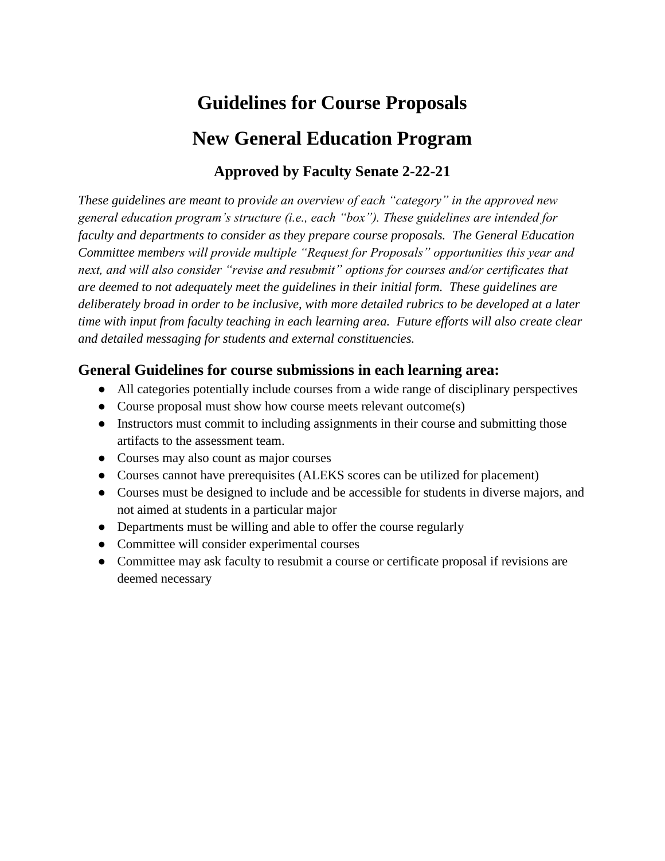# **Guidelines for Course Proposals New General Education Program**

## **Approved by Faculty Senate 2-22-21**

*These guidelines are meant to provide an overview of each "category" in the approved new general education program's structure (i.e., each "box"). These guidelines are intended for faculty and departments to consider as they prepare course proposals. The General Education Committee members will provide multiple "Request for Proposals" opportunities this year and next, and will also consider "revise and resubmit" options for courses and/or certificates that are deemed to not adequately meet the guidelines in their initial form. These guidelines are deliberately broad in order to be inclusive, with more detailed rubrics to be developed at a later time with input from faculty teaching in each learning area. Future efforts will also create clear and detailed messaging for students and external constituencies.* 

## **General Guidelines for course submissions in each learning area:**

- All categories potentially include courses from a wide range of disciplinary perspectives
- Course proposal must show how course meets relevant outcome(s)
- Instructors must commit to including assignments in their course and submitting those artifacts to the assessment team.
- Courses may also count as major courses
- Courses cannot have prerequisites (ALEKS scores can be utilized for placement)
- Courses must be designed to include and be accessible for students in diverse majors, and not aimed at students in a particular major
- Departments must be willing and able to offer the course regularly
- Committee will consider experimental courses
- Committee may ask faculty to resubmit a course or certificate proposal if revisions are deemed necessary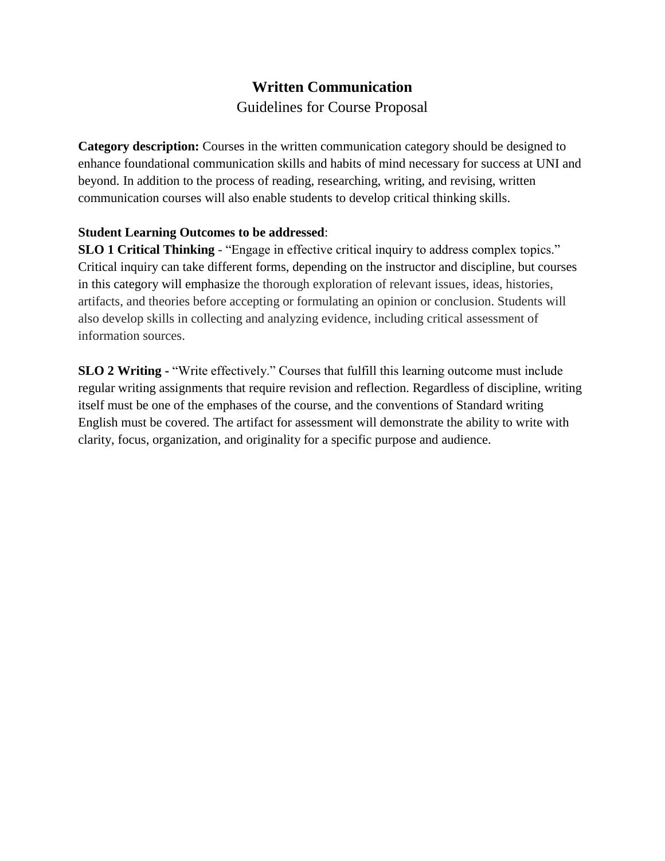## **Written Communication** Guidelines for Course Proposal

**Category description:** Courses in the written communication category should be designed to enhance foundational communication skills and habits of mind necessary for success at UNI and beyond. In addition to the process of reading, researching, writing, and revising, written communication courses will also enable students to develop critical thinking skills.

#### **Student Learning Outcomes to be addressed**:

**SLO 1 Critical Thinking** - "Engage in effective critical inquiry to address complex topics." Critical inquiry can take different forms, depending on the instructor and discipline, but courses in this category will emphasize the thorough exploration of relevant issues, ideas, histories, artifacts, and theories before accepting or formulating an opinion or conclusion. Students will also develop skills in collecting and analyzing evidence, including critical assessment of information sources.

**SLO 2 Writing -** "Write effectively." Courses that fulfill this learning outcome must include regular writing assignments that require revision and reflection. Regardless of discipline, writing itself must be one of the emphases of the course, and the conventions of Standard writing English must be covered. The artifact for assessment will demonstrate the ability to write with clarity, focus, organization, and originality for a specific purpose and audience.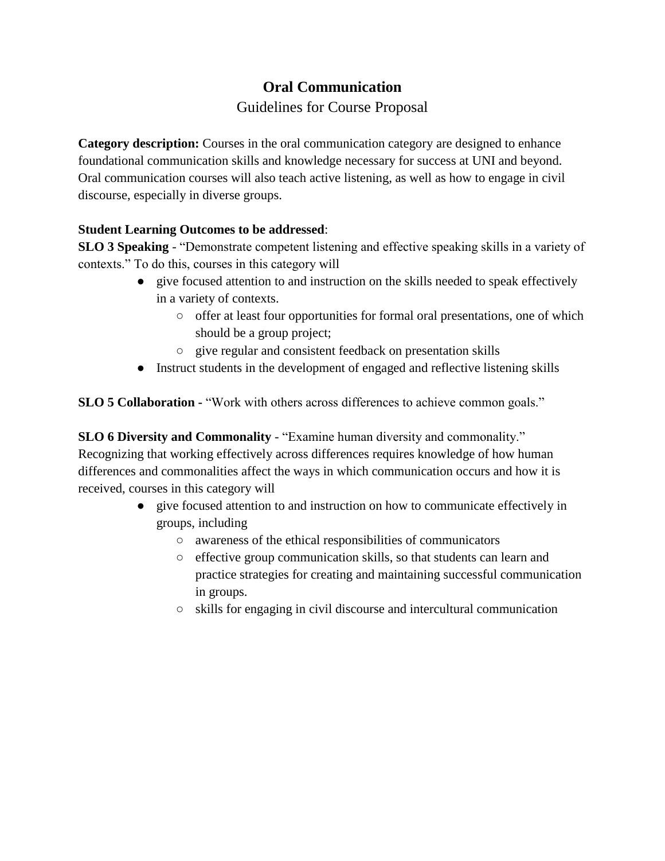## **Oral Communication**

## Guidelines for Course Proposal

Category description: Courses in the oral communication category are designed to enhance foundational communication skills and knowledge necessary for success at UNI and beyond. Oral communication courses will also teach active listening, as well as how to engage in civil discourse, especially in diverse groups.

## **Student Learning Outcomes to be addressed**:

**SLO 3 Speaking** - "Demonstrate competent listening and effective speaking skills in a variety of contexts." To do this, courses in this category will

- give focused attention to and instruction on the skills needed to speak effectively in a variety of contexts.
	- offer at least four opportunities for formal oral presentations, one of which should be a group project;
	- give regular and consistent feedback on presentation skills
- Instruct students in the development of engaged and reflective listening skills

**SLO 5 Collaboration -** "Work with others across differences to achieve common goals."

**SLO 6 Diversity and Commonality** - "Examine human diversity and commonality." Recognizing that working effectively across differences requires knowledge of how human differences and commonalities affect the ways in which communication occurs and how it is received, courses in this category will

- give focused attention to and instruction on how to communicate effectively in groups, including
	- awareness of the ethical responsibilities of communicators
	- effective group communication skills, so that students can learn and practice strategies for creating and maintaining successful communication in groups.
	- skills for engaging in civil discourse and intercultural communication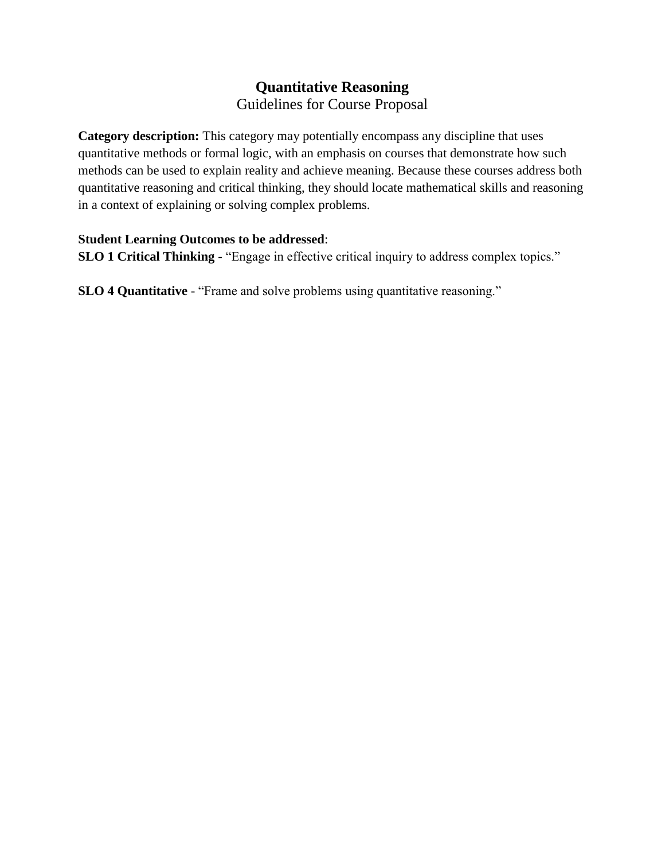## **Quantitative Reasoning**  Guidelines for Course Proposal

**Category description:** This category may potentially encompass any discipline that uses quantitative methods or formal logic, with an emphasis on courses that demonstrate how such methods can be used to explain reality and achieve meaning. Because these courses address both quantitative reasoning and critical thinking, they should locate mathematical skills and reasoning in a context of explaining or solving complex problems.

#### **Student Learning Outcomes to be addressed**:

**SLO 1 Critical Thinking** - "Engage in effective critical inquiry to address complex topics."

**SLO 4 Quantitative** - "Frame and solve problems using quantitative reasoning."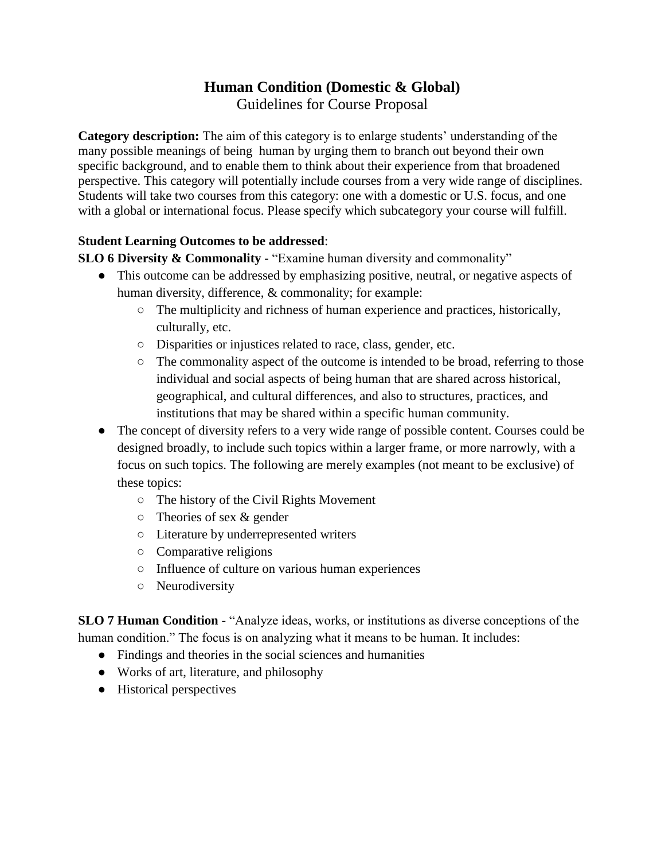## **Human Condition (Domestic & Global)**

Guidelines for Course Proposal

**Category description:** The aim of this category is to enlarge students' understanding of the many possible meanings of being human by urging them to branch out beyond their own specific background, and to enable them to think about their experience from that broadened perspective. This category will potentially include courses from a very wide range of disciplines. Students will take two courses from this category: one with a domestic or U.S. focus, and one with a global or international focus. Please specify which subcategory your course will fulfill.

#### **Student Learning Outcomes to be addressed**:

**SLO 6 Diversity & Commonality -** "Examine human diversity and commonality"

- This outcome can be addressed by emphasizing positive, neutral, or negative aspects of human diversity, difference, & commonality; for example:
	- The multiplicity and richness of human experience and practices, historically, culturally, etc.
	- Disparities or injustices related to race, class, gender, etc.
	- The commonality aspect of the outcome is intended to be broad, referring to those individual and social aspects of being human that are shared across historical, geographical, and cultural differences, and also to structures, practices, and institutions that may be shared within a specific human community.
- The concept of diversity refers to a very wide range of possible content. Courses could be designed broadly, to include such topics within a larger frame, or more narrowly, with a focus on such topics. The following are merely examples (not meant to be exclusive) of these topics:
	- The history of the Civil Rights Movement
	- $\circ$  Theories of sex & gender
	- Literature by underrepresented writers
	- Comparative religions
	- Influence of culture on various human experiences
	- Neurodiversity

**SLO 7 Human Condition** - "Analyze ideas, works, or institutions as diverse conceptions of the human condition." The focus is on analyzing what it means to be human. It includes:

- Findings and theories in the social sciences and humanities
- Works of art, literature, and philosophy
- Historical perspectives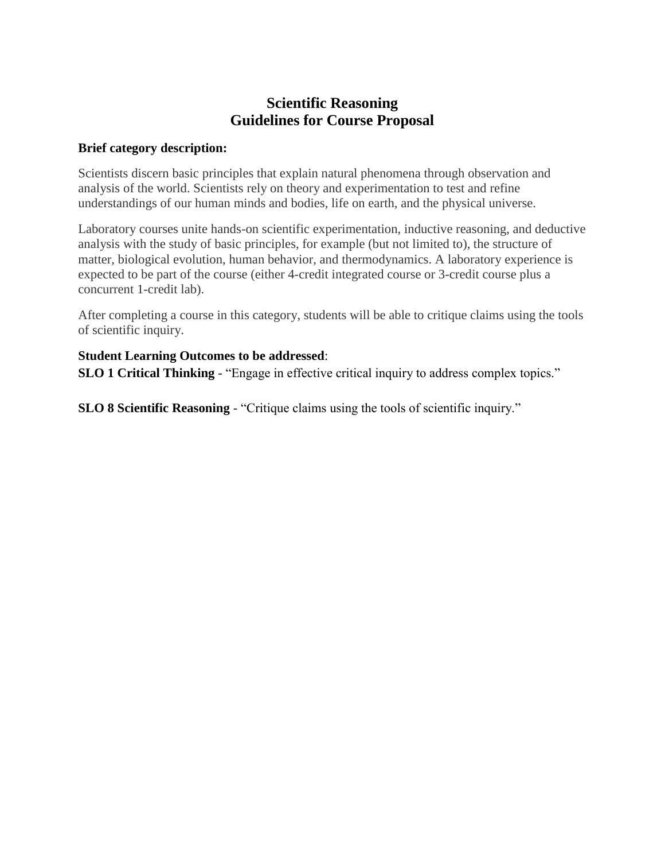## **Scientific Reasoning Guidelines for Course Proposal**

#### **Brief category description:**

Scientists discern basic principles that explain natural phenomena through observation and analysis of the world. Scientists rely on theory and experimentation to test and refine understandings of our human minds and bodies, life on earth, and the physical universe.

Laboratory courses unite hands-on scientific experimentation, inductive reasoning, and deductive analysis with the study of basic principles, for example (but not limited to), the structure of matter, biological evolution, human behavior, and thermodynamics. A laboratory experience is expected to be part of the course (either 4-credit integrated course or 3-credit course plus a concurrent 1-credit lab).

After completing a course in this category, students will be able to critique claims using the tools of scientific inquiry.

#### **Student Learning Outcomes to be addressed**:

**SLO 1 Critical Thinking** - "Engage in effective critical inquiry to address complex topics."

**SLO 8 Scientific Reasoning** - "Critique claims using the tools of scientific inquiry."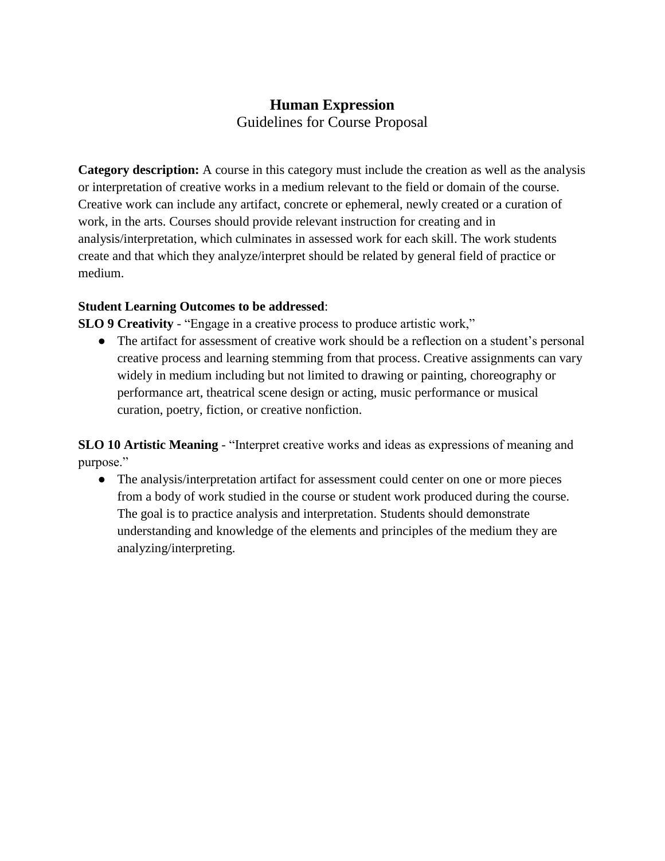## **Human Expression** Guidelines for Course Proposal

**Category description:** A course in this category must include the creation as well as the analysis or interpretation of creative works in a medium relevant to the field or domain of the course. Creative work can include any artifact, concrete or ephemeral, newly created or a curation of work, in the arts. Courses should provide relevant instruction for creating and in analysis/interpretation, which culminates in assessed work for each skill. The work students create and that which they analyze/interpret should be related by general field of practice or medium.

#### **Student Learning Outcomes to be addressed**:

**SLO 9 Creativity** - "Engage in a creative process to produce artistic work,"

• The artifact for assessment of creative work should be a reflection on a student's personal creative process and learning stemming from that process. Creative assignments can vary widely in medium including but not limited to drawing or painting, choreography or performance art, theatrical scene design or acting, music performance or musical curation, poetry, fiction, or creative nonfiction.

**SLO 10 Artistic Meaning** - "Interpret creative works and ideas as expressions of meaning and purpose."

• The analysis/interpretation artifact for assessment could center on one or more pieces from a body of work studied in the course or student work produced during the course. The goal is to practice analysis and interpretation. Students should demonstrate understanding and knowledge of the elements and principles of the medium they are analyzing/interpreting.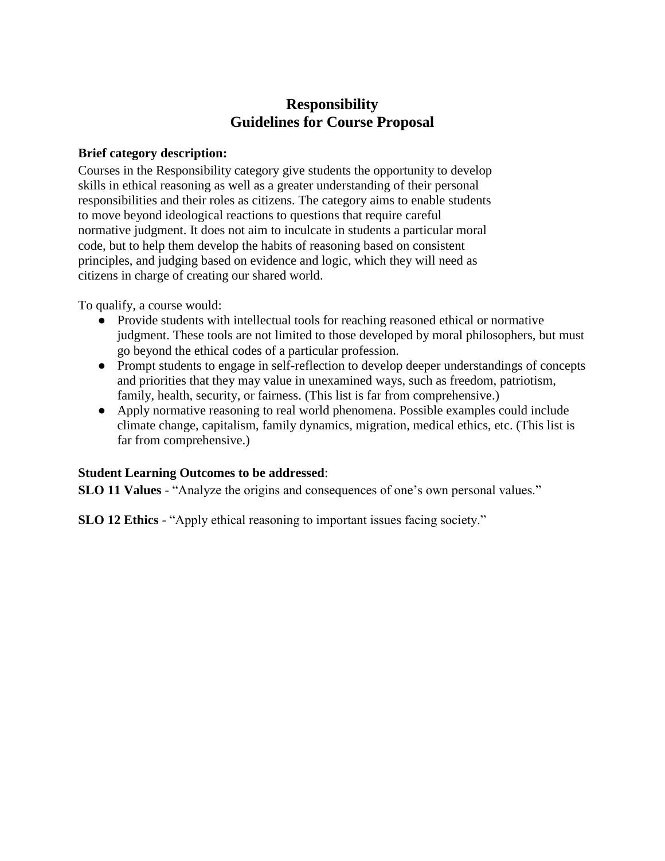## **Responsibility Guidelines for Course Proposal**

#### **Brief category description:**

Courses in the Responsibility category give students the opportunity to develop skills in ethical reasoning as well as a greater understanding of their personal responsibilities and their roles as citizens. The category aims to enable students to move beyond ideological reactions to questions that require careful normative judgment. It does not aim to inculcate in students a particular moral code, but to help them develop the habits of reasoning based on consistent principles, and judging based on evidence and logic, which they will need as citizens in charge of creating our shared world.

To qualify, a course would:

- Provide students with intellectual tools for reaching reasoned ethical or normative judgment. These tools are not limited to those developed by moral philosophers, but must go beyond the ethical codes of a particular profession.
- Prompt students to engage in self-reflection to develop deeper understandings of concepts and priorities that they may value in unexamined ways, such as freedom, patriotism, family, health, security, or fairness. (This list is far from comprehensive.)
- Apply normative reasoning to real world phenomena. Possible examples could include climate change, capitalism, family dynamics, migration, medical ethics, etc. (This list is far from comprehensive.)

## **Student Learning Outcomes to be addressed**:

**SLO 11 Values** - "Analyze the origins and consequences of one's own personal values."

**SLO 12 Ethics** - "Apply ethical reasoning to important issues facing society."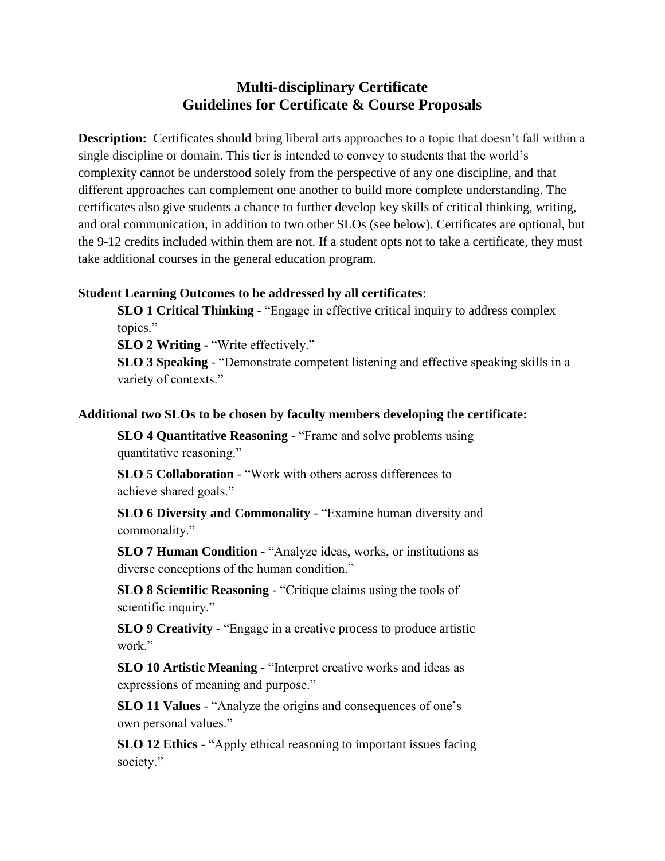## **Multi-disciplinary Certificate Guidelines for Certificate & Course Proposals**

**Description:** Certificates should bring liberal arts approaches to a topic that doesn't fall within a single discipline or domain. This tier is intended to convey to students that the world's complexity cannot be understood solely from the perspective of any one discipline, and that different approaches can complement one another to build more complete understanding. The certificates also give students a chance to further develop key skills of critical thinking, writing, and oral communication, in addition to two other SLOs (see below). Certificates are optional, but the 9-12 credits included within them are not. If a student opts not to take a certificate, they must take additional courses in the general education program.

#### **Student Learning Outcomes to be addressed by all certificates**:

**SLO 1 Critical Thinking** - "Engage in effective critical inquiry to address complex topics."

**SLO 2 Writing -** "Write effectively."

**SLO 3 Speaking** - "Demonstrate competent listening and effective speaking skills in a variety of contexts."

#### **Additional two SLOs to be chosen by faculty members developing the certificate:**

**SLO 4 Quantitative Reasoning** - "Frame and solve problems using quantitative reasoning."

**SLO 5 Collaboration** - "Work with others across differences to achieve shared goals."

**SLO 6 Diversity and Commonality** - "Examine human diversity and commonality."

**SLO 7 Human Condition** - "Analyze ideas, works, or institutions as diverse conceptions of the human condition."

**SLO 8 Scientific Reasoning** - "Critique claims using the tools of scientific inquiry."

**SLO 9 Creativity** - "Engage in a creative process to produce artistic work."

**SLO 10 Artistic Meaning** - "Interpret creative works and ideas as expressions of meaning and purpose."

**SLO 11 Values** - "Analyze the origins and consequences of one's own personal values."

**SLO 12 Ethics** - "Apply ethical reasoning to important issues facing society."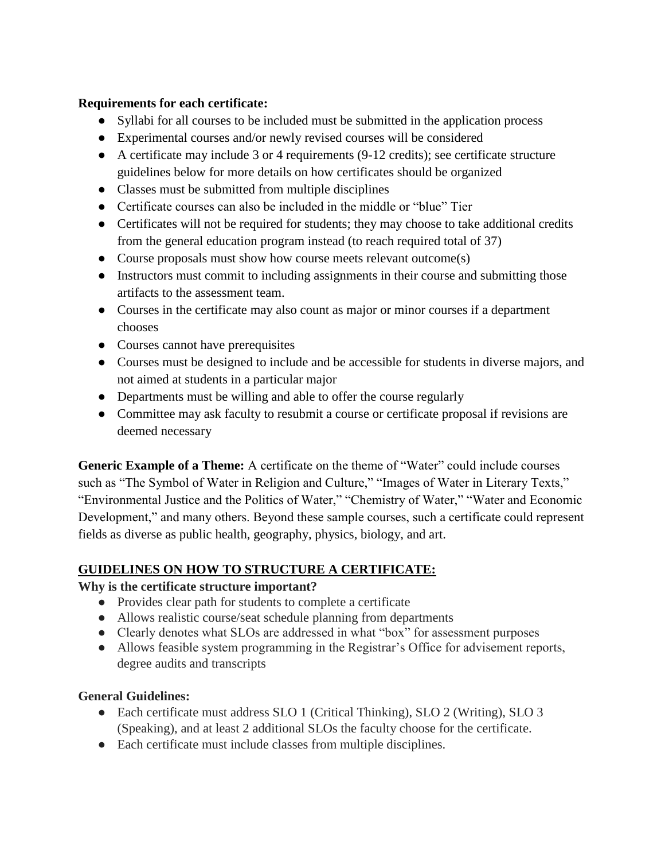#### **Requirements for each certificate:**

- Syllabi for all courses to be included must be submitted in the application process
- Experimental courses and/or newly revised courses will be considered
- A certificate may include 3 or 4 requirements (9-12 credits); see certificate structure guidelines below for more details on how certificates should be organized
- Classes must be submitted from multiple disciplines
- Certificate courses can also be included in the middle or "blue" Tier
- Certificates will not be required for students; they may choose to take additional credits from the general education program instead (to reach required total of 37)
- Course proposals must show how course meets relevant outcome(s)
- Instructors must commit to including assignments in their course and submitting those artifacts to the assessment team.
- Courses in the certificate may also count as major or minor courses if a department chooses
- Courses cannot have prerequisites
- Courses must be designed to include and be accessible for students in diverse majors, and not aimed at students in a particular major
- Departments must be willing and able to offer the course regularly
- Committee may ask faculty to resubmit a course or certificate proposal if revisions are deemed necessary

**Generic Example of a Theme:** A certificate on the theme of "Water" could include courses such as "The Symbol of Water in Religion and Culture," "Images of Water in Literary Texts," "Environmental Justice and the Politics of Water," "Chemistry of Water," "Water and Economic Development," and many others. Beyond these sample courses, such a certificate could represent fields as diverse as public health, geography, physics, biology, and art.

## **GUIDELINES ON HOW TO STRUCTURE A CERTIFICATE:**

## **Why is the certificate structure important?**

- Provides clear path for students to complete a certificate
- Allows realistic course/seat schedule planning from departments
- Clearly denotes what SLOs are addressed in what "box" for assessment purposes
- Allows feasible system programming in the Registrar's Office for advisement reports, degree audits and transcripts

## **General Guidelines:**

- Each certificate must address SLO 1 (Critical Thinking), SLO 2 (Writing), SLO 3 (Speaking), and at least 2 additional SLOs the faculty choose for the certificate.
- Each certificate must include classes from multiple disciplines.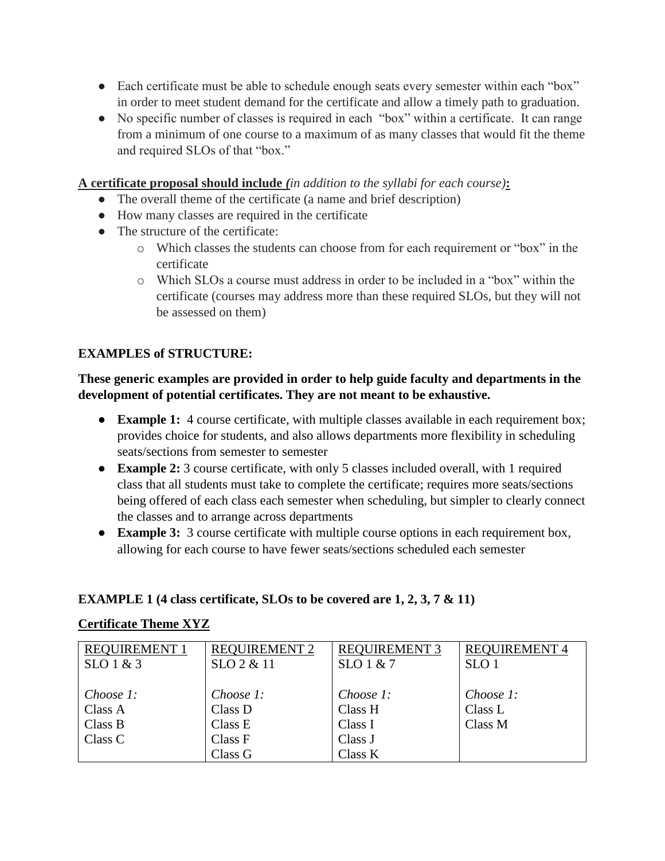- Each certificate must be able to schedule enough seats every semester within each "box" in order to meet student demand for the certificate and allow a timely path to graduation.
- No specific number of classes is required in each "box" within a certificate. It can range from a minimum of one course to a maximum of as many classes that would fit the theme and required SLOs of that "box."

#### **A certificate proposal should include** *(in addition to the syllabi for each course)***:**

- The overall theme of the certificate (a name and brief description)
- How many classes are required in the certificate
- The structure of the certificate:
	- o Which classes the students can choose from for each requirement or "box" in the certificate
	- o Which SLOs a course must address in order to be included in a "box" within the certificate (courses may address more than these required SLOs, but they will not be assessed on them)

## **EXAMPLES of STRUCTURE:**

#### **These generic examples are provided in order to help guide faculty and departments in the development of potential certificates. They are not meant to be exhaustive.**

- **Example 1:** 4 course certificate, with multiple classes available in each requirement box; provides choice for students, and also allows departments more flexibility in scheduling seats/sections from semester to semester
- **Example 2:** 3 course certificate, with only 5 classes included overall, with 1 required class that all students must take to complete the certificate; requires more seats/sections being offered of each class each semester when scheduling, but simpler to clearly connect the classes and to arrange across departments
- **Example 3:** 3 course certificate with multiple course options in each requirement box, allowing for each course to have fewer seats/sections scheduled each semester

## **EXAMPLE 1 (4 class certificate, SLOs to be covered are 1, 2, 3, 7 & 11)**

#### **Certificate Theme XYZ**

| <b>REQUIREMENT 1</b> | <b>REQUIREMENT 2</b> | <b>REQUIREMENT 3</b> | <b>REQUIREMENT 4</b> |
|----------------------|----------------------|----------------------|----------------------|
| $SLO1 \& 3$          | SLO 2 & 11           | $SLO1 \& 7$          | SLO <sub>1</sub>     |
|                      |                      |                      |                      |
| Choose 1:            | Choose 1:            | Choose 1:            | Choose 1:            |
| Class A              | Class D              | Class H              | Class L              |
| Class B              | Class E              | Class I              | Class M              |
| Class C              | Class F              | Class J              |                      |
|                      | Class G              | Class K              |                      |